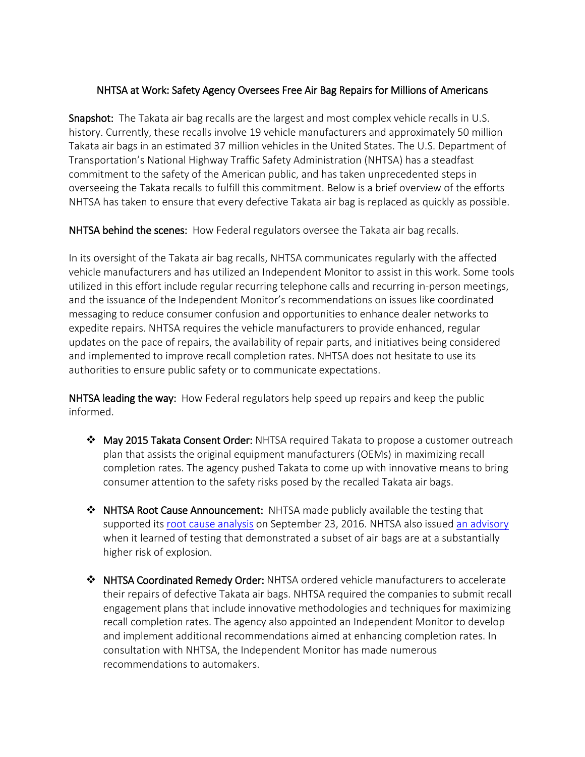## NHTSA at Work: Safety Agency Oversees Free Air Bag Repairs for Millions of Americans

Snapshot: The Takata air bag recalls are the largest and most complex vehicle recalls in U.S. history. Currently, these recalls involve 19 vehicle manufacturers and approximately 50 million Takata air bags in an estimated 37 million vehicles in the United States. The U.S. Department of Transportation's National Highway Traffic Safety Administration (NHTSA) has a steadfast commitment to the safety of the American public, and has taken unprecedented steps in overseeing the Takata recalls to fulfill this commitment. Below is a brief overview of the efforts NHTSA has taken to ensure that every defective Takata air bag is replaced as quickly as possible.

NHTSA behind the scenes: How Federal regulators oversee the Takata air bag recalls.

In its oversight of the Takata air bag recalls, NHTSA communicates regularly with the affected vehicle manufacturers and has utilized an Independent Monitor to assist in this work. Some tools utilized in this effort include regular recurring telephone calls and recurring in-person meetings, and the issuance of the Independent Monitor's recommendations on issues like coordinated messaging to reduce consumer confusion and opportunities to enhance dealer networks to expedite repairs. NHTSA requires the vehicle manufacturers to provide enhanced, regular updates on the pace of repairs, the availability of repair parts, and initiatives being considered and implemented to improve recall completion rates. NHTSA does not hesitate to use its authorities to ensure public safety or to communicate expectations.

NHTSA leading the way: How Federal regulators help speed up repairs and keep the public informed.

- $\clubsuit$  May 2015 Takata Consent Order: NHTSA required Takata to propose a customer outreach plan that assists the original equipment manufacturers (OEMs) in maximizing recall completion rates. The agency pushed Takata to come up with innovative means to bring consumer attention to the safety risks posed by the recalled Takata air bags.
- $\triangle$  NHTSA Root Cause Announcement: NHTSA made publicly available the testing that supported its [root cause analysis](https://www.nhtsa.gov/sites/nhtsa.dot.gov/files/documents/orbital_atk_research_summary.pdf) on September 23, 2016. NHTSA also issued [an advisory](https://www.nhtsa.gov/press-releases/nhtsa-new-test-data-particular-subset-takata-air-bag-inflators-shows-substantially) when it learned of testing that demonstrated a subset of air bags are at a substantially higher risk of explosion.
- NHTSA Coordinated Remedy Order: NHTSA ordered vehicle manufacturers to accelerate their repairs of defective Takata air bags. NHTSA required the companies to submit recall engagement plans that include innovative methodologies and techniques for maximizing recall completion rates. The agency also appointed an Independent Monitor to develop and implement additional recommendations aimed at enhancing completion rates. In consultation with NHTSA, the Independent Monitor has made numerous recommendations to automakers.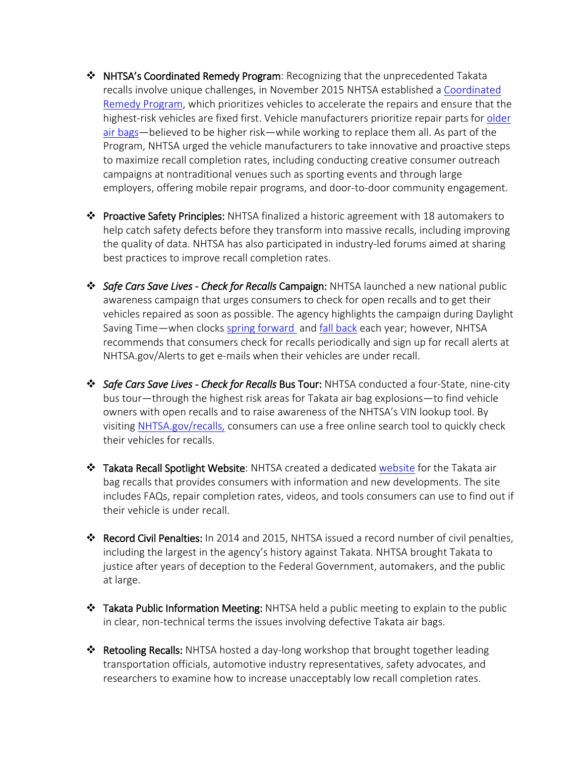- NHTSA's Coordinated Remedy Program: Recognizing that the unprecedented Takata recalls involve unique challenges, in November 2015 NHTSA established a [Coordinated](https://www.nhtsa.gov/sites/nhtsa.dot.gov/files/documents/nhtsa-coordinatedremedyorder-takata.pdf)  [Remedy Program,](https://www.nhtsa.gov/sites/nhtsa.dot.gov/files/documents/nhtsa-coordinatedremedyorder-takata.pdf) which prioritizes vehicles to accelerate the repairs and ensure that the highest-risk vehicles are fixed first. Vehicle manufacturers prioritize repair parts for older [air bags](https://www.nhtsa.gov/sites/nhtsa.dot.gov/files/documents/takata_airbag_consumer_basic_fact_sheet.pdf)—believed to be higher risk—while working to replace them all. As part of the Program, NHTSA urged the vehicle manufacturers to take innovative and proactive steps to maximize recall completion rates, including conducting creative consumer outreach campaigns at nontraditional venues such as sporting events and through large employers, offering mobile repair programs, and door-to-door community engagement.
- $\triangle$  Proactive Safety Principles: NHTSA finalized a historic agreement with 18 automakers to help catch safety defects before they transform into massive recalls, including improving the quality of data. NHTSA has also participated in industry-led forums aimed at sharing best practices to improve recall completion rates.
- *Safe Cars Save Lives Check for Recalls* Campaign: NHTSA launched a new national public awareness campaign that urges consumers to check for open recalls and to get their vehicles repaired as soon as possible. The agency highlights the campaign during Daylight Saving Time—when clocks [spring forward](https://www.nhtsa.gov/press-releases/us-dot-reminds-public-check-recalls-clocks-spring-forward) and [fall back](https://www.nhtsa.gov/press-releases/us-dot-reminds-public-check-recalls-clocks-fall-back) each year; however, NHTSA recommends that consumers check for recalls periodically and sign up for recall alerts at NHTSA.gov/Alerts to get e-mails when their vehicles are under recall.
- *Safe Cars Save Lives Check for Recalls* Bus Tour: NHTSA conducted a four-State, nine-city bus tour—through the highest risk areas for Takata air bag explosions—to find vehicle owners with open recalls and to raise awareness of the NHTSA's VIN lookup tool. By visiting [NHTSA.gov/](http://www.nhtsa.gov/)recalls, consumers can use a free online search tool to quickly check their vehicles for recalls.
- \* Takata Recall Spotlight Website: NHTSA created a dedicated [website](https://www.nhtsa.gov/recall-spotlight/takata-air-bags) for the Takata air bag recalls that provides consumers with information and new developments. The site includes FAQs, repair completion rates, videos, and tools consumers can use to find out if their vehicle is under recall.
- Record Civil Penalties: In 2014 and 2015, NHTSA issued a record number of civil penalties, including the largest in the agency's history against Takata. NHTSA brought Takata to justice after years of deception to the Federal Government, automakers, and the public at large.
- $\triangle$  Takata Public Information Meeting: NHTSA held a public meeting to explain to the public in clear, non-technical terms the issues involving defective Takata air bags.
- $\triangle$  Retooling Recalls: NHTSA hosted a day-long workshop that brought together leading transportation officials, automotive industry representatives, safety advocates, and researchers to examine how to increase unacceptably low recall completion rates.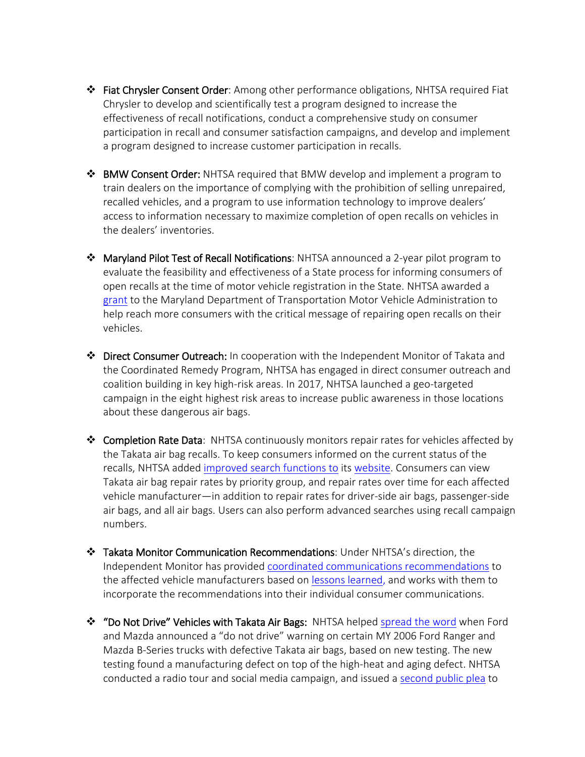- Fiat Chrysler Consent Order: Among other performance obligations, NHTSA required Fiat Chrysler to develop and scientifically test a program designed to increase the effectiveness of recall notifications, conduct a comprehensive study on consumer participation in recall and consumer satisfaction campaigns, and develop and implement a program designed to increase customer participation in recalls.
- $\div$  BMW Consent Order: NHTSA required that BMW develop and implement a program to train dealers on the importance of complying with the prohibition of selling unrepaired, recalled vehicles, and a program to use information technology to improve dealers' access to information necessary to maximize completion of open recalls on vehicles in the dealers' inventories.
- Maryland Pilot Test of Recall Notifications: NHTSA announced a 2-year pilot program to evaluate the feasibility and effectiveness of a State process for informing consumers of open recalls at the time of motor vehicle registration in the State. NHTSA awarded a [grant](https://www.nhtsa.gov/press-releases/us-dot-and-maryland-mva-collaborate-improve-recall-remedy-rates) to the Maryland Department of Transportation Motor Vehicle Administration to help reach more consumers with the critical message of repairing open recalls on their vehicles.
- Direct Consumer Outreach: In cooperation with the Independent Monitor of Takata and the Coordinated Remedy Program, NHTSA has engaged in direct consumer outreach and coalition building in key high-risk areas. In 2017, NHTSA launched a geo-targeted campaign in the eight highest risk areas to increase public awareness in those locations about these dangerous air bags.
- \* Completion Rate Data: NHTSA continuously monitors repair rates for vehicles affected by the Takata air bag recalls. To keep consumers informed on the current status of the recalls, NHTSA added [improved search functions to](https://www.nhtsa.gov/press-releases/nhtsa-releases-more-data-takata-air-bag-repairs) its [website.](https://www.nhtsa.gov/recall-spotlight/takata-air-bags) Consumers can view Takata air bag repair rates by priority group, and repair rates over time for each affected vehicle manufacturer—in addition to repair rates for driver-side air bags, passenger-side air bags, and all air bags. Users can also perform advanced searches using recall campaign numbers.
- Takata Monitor Communication Recommendations: Under NHTSA's direction, the Independent Monitor has provided [coordinated communications recommendations](https://www.nhtsa.gov/sites/nhtsa.dot.gov/files/documents/coordinated_communications_recommendations_1.pdf) to the affected vehicle manufacturers based on [lessons learned,](https://www.nhtsa.gov/sites/nhtsa.dot.gov/files/documents/takata_media_statement_20171117.pdf) and works with them to incorporate the recommendations into their individual consumer communications.
- ◆ "Do Not Drive" Vehicles with Takata Air Bags: NHTSA helped [spread the word](https://www.nhtsa.gov/press-releases/nhtsa-issues-consumer-safety-advisory-ford-and-mazda-expand-do-not-drive-warning) when Ford and Mazda announced a "do not drive" warning on certain MY 2006 Ford Ranger and Mazda B-Series trucks with defective Takata air bags, based on new testing. The new testing found a manufacturing defect on top of the high-heat and aging defect. NHTSA conducted a radio tour and social media campaign, and issued a [second public plea](https://www.nhtsa.gov/press-releases/low-completion-rates-do-not-drive-warning) to